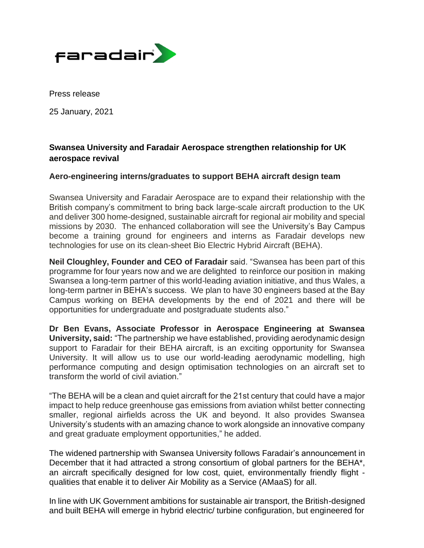

Press release

25 January, 2021

# **Swansea University and Faradair Aerospace strengthen relationship for UK aerospace revival**

# **Aero-engineering interns/graduates to support BEHA aircraft design team**

Swansea University and Faradair Aerospace are to expand their relationship with the British company's commitment to bring back large-scale aircraft production to the UK and deliver 300 home-designed, sustainable aircraft for regional air mobility and special missions by 2030. The enhanced collaboration will see the University's Bay Campus become a training ground for engineers and interns as Faradair develops new technologies for use on its clean-sheet Bio Electric Hybrid Aircraft (BEHA).

**Neil Cloughley, Founder and CEO of Faradair** said. "Swansea has been part of this programme for four years now and we are delighted to reinforce our position in making Swansea a long-term partner of this world-leading aviation initiative, and thus Wales, a long-term partner in BEHA's success. We plan to have 30 engineers based at the Bay Campus working on BEHA developments by the end of 2021 and there will be opportunities for undergraduate and postgraduate students also."

**Dr Ben Evans, Associate Professor in Aerospace Engineering at Swansea University, said:** "The partnership we have established, providing aerodynamic design support to Faradair for their BEHA aircraft, is an exciting opportunity for Swansea University. It will allow us to use our world-leading aerodynamic modelling, high performance computing and design optimisation technologies on an aircraft set to transform the world of civil aviation."

"The BEHA will be a clean and quiet aircraft for the 21st century that could have a major impact to help reduce greenhouse gas emissions from aviation whilst better connecting smaller, regional airfields across the UK and beyond. It also provides Swansea University's students with an amazing chance to work alongside an innovative company and great graduate employment opportunities," he added.

The widened partnership with Swansea University follows Faradair's announcement in December that it had attracted a strong consortium of global partners for the BEHA\*, an aircraft specifically designed for low cost, quiet, environmentally friendly flight qualities that enable it to deliver Air Mobility as a Service (AMaaS) for all.

In line with UK Government ambitions for sustainable air transport, the British-designed and built BEHA will emerge in hybrid electric/ turbine configuration, but engineered for